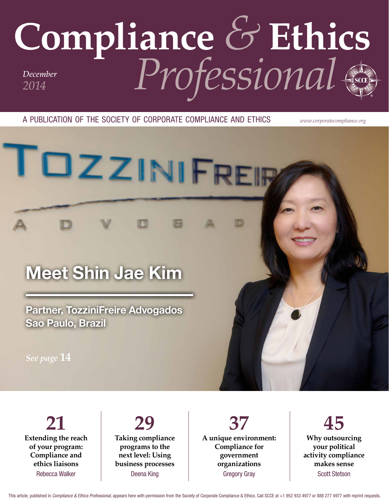## **Compliance** *&* **Ethics** *Professional December 2014*

a publication of the society of corporate compliance and ethics *www.corporatecompliance.org*

# TOZZINIFRER

### Meet Shin Jae Kim

Partner, TozziniFreire Advogados Sao Paulo, Brazil

*See page* **14**

**21 Extending the reach of your program: Compliance and ethics liaisons** Rebecca Walker

**29 Taking compliance programs to the next level: Using business processes** Deena King

**37 A unique environment: Compliance for government organizations** Gregory Gray

**45 Why outsourcing your political activity compliance makes sense** Scott Stetson

This article, published in *Compliance & Ethics Professional*, appears here with permission from the Society of Corporate Compliance & Ethics. Call SCCE at +1 952 933 4977 or 888 277 4977 with reprint requests.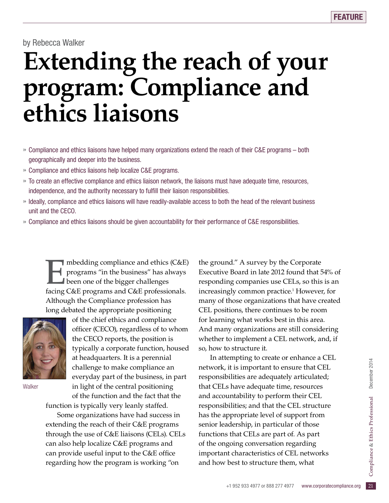by Rebecca Walker

## **Extending the reach of your program: Compliance and ethics liaisons**

- » Compliance and ethics liaisons have helped many organizations extend the reach of their C&E programs both geographically and deeper into the business.
- » Compliance and ethics liaisons help localize C&E programs.
- » To create an effective compliance and ethics liaison network, the liaisons must have adequate time, resources, independence, and the authority necessary to fulfill their liaison responsibilities.
- » Ideally, compliance and ethics liaisons will have readily-available access to both the head of the relevant business unit and the CECO.
- » Compliance and ethics liaisons should be given accountability for their performance of C&E responsibilities.

mbedding compliance and ethics (C&E)<br>programs "in the business" has always<br>been one of the bigger challenges<br>facing C&E programs and C&E professionals programs "in the business" has always been one of the bigger challenges facing C&E programs and C&E professionals. Although the Compliance profession has long debated the appropriate positioning



**Walker** 

of the chief ethics and compliance officer (CECO), regardless of to whom the CECO reports, the position is typically a corporate function, housed at headquarters. It is a perennial challenge to make compliance an everyday part of the business, in part in light of the central positioning of the function and the fact that the

function is typically very leanly staffed.

Some organizations have had success in extending the reach of their C&E programs through the use of C&E liaisons (CELs). CELs can also help localize C&E programs and can provide useful input to the C&E office regarding how the program is working "on

the ground." A survey by the Corporate Executive Board in late 2012 found that 54% of responding companies use CELs, so this is an increasingly common practice.1 However, for many of those organizations that have created CEL positions, there continues to be room for learning what works best in this area. And many organizations are still considering whether to implement a CEL network, and, if so, how to structure it.

empting to create of emfance a CEL<br>
it is important to ensure that CEL<br>
bilities are adequately articulated;<br>
s have adequate time, resources<br>
untability to perform their CEL<br>
bilities; and that the CEL structure<br>
ppropria In attempting to create or enhance a CEL network, it is important to ensure that CEL responsibilities are adequately articulated; that CELs have adequate time, resources and accountability to perform their CEL responsibilities; and that the CEL structure has the appropriate level of support from senior leadership, in particular of those functions that CELs are part of. As part of the ongoing conversation regarding important characteristics of CEL networks and how best to structure them, what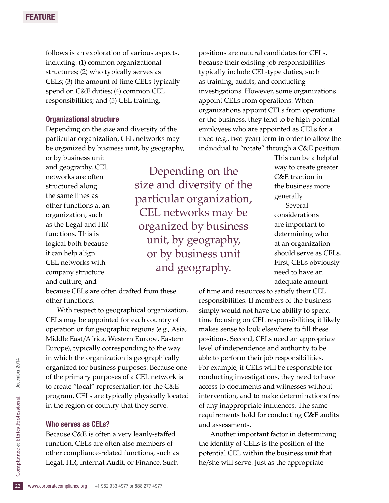follows is an exploration of various aspects, including: (1) common organizational structures; (2) who typically serves as CELs; (3) the amount of time CELs typically spend on C&E duties; (4) common CEL responsibilities; and (5) CEL training.

#### Organizational structure

Depending on the size and diversity of the particular organization, CEL networks may be organized by business unit, by geography,

or by business unit and geography. CEL networks are often structured along the same lines as other functions at an organization, such as the Legal and HR functions. This is logical both because it can help align CEL networks with company structure and culture, and

Depending on the size and diversity of the particular organization, CEL networks may be organized by business unit, by geography, or by business unit and geography.

because CELs are often drafted from these other functions.

With respect to geographical organization, CELs may be appointed for each country of operation or for geographic regions (e.g., Asia, Middle East/Africa, Western Europe, Eastern Europe), typically corresponding to the way in which the organization is geographically organized for business purposes. Because one of the primary purposes of a CEL network is to create "local" representation for the C&E program, CELs are typically physically located in the region or country that they serve.

#### Who serves as CELs?

other compliance-related functions, such as<br>
Legal, HR, Internal Audit, or Finance. Such<br>  $\frac{5}{22}$  www.corporatecompliance.org +1 952 933 4977 or 888 277 4977 Because C&E is often a very leanly-staffed function, CELs are often also members of Legal, HR, Internal Audit, or Finance. Such

positions are natural candidates for CELs, because their existing job responsibilities typically include CEL-type duties, such as training, audits, and conducting investigations. However, some organizations appoint CELs from operations. When organizations appoint CELs from operations or the business, they tend to be high-potential employees who are appointed as CELs for a fixed (e.g., two-year) term in order to allow the individual to "rotate" through a C&E position.

> This can be a helpful way to create greater C&E traction in the business more generally.

Several considerations are important to determining who at an organization should serve as CELs. First, CELs obviously need to have an adequate amount

of time and resources to satisfy their CEL responsibilities. If members of the business simply would not have the ability to spend time focusing on CEL responsibilities, it likely makes sense to look elsewhere to fill these positions. Second, CELs need an appropriate level of independence and authority to be able to perform their job responsibilities. For example, if CELs will be responsible for conducting investigations, they need to have access to documents and witnesses without intervention, and to make determinations free of any inappropriate influences. The same requirements hold for conducting C&E audits and assessments.

Another important factor in determining the identity of CELs is the position of the potential CEL within the business unit that he/she will serve. Just as the appropriate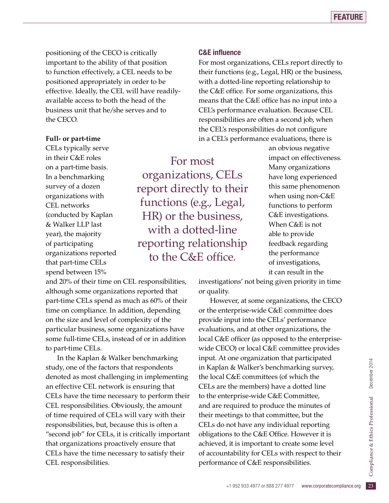positioning of the CECO is critically important to the ability of that position to function effectively, a CEL needs to be positioned appropriately in order to be effective. Ideally, the CEL will have readilyavailable access to both the head of the business unit that he/she serves and to the CECO.

#### **Full- or part-time**

CELs typically serve in their C&E roles on a part-time basis. In a benchmarking survey of a dozen organizations with CEL networks (conducted by Kaplan & Walker LLP last year), the majority of participating organizations reported that part-time CELs spend between 15%

For most organizations, CELs report directly to their functions (e.g., Legal, HR) or the business, with a dotted-line reporting relationship to the C&E office.

#### C&E influence

For most organizations, CELs report directly to their functions (e.g., Legal, HR) or the business, with a dotted-line reporting relationship to the C&E office. For some organizations, this means that the C&E office has no input into a CEL's performance evaluation. Because CEL responsibilities are often a second job, when the CEL's responsibilities do not configure in a CEL's performance evaluations, there is

> an obvious negative impact on effectiveness. Many organizations have long experienced this same phenomenon when using non-C&E functions to perform C&E investigations. When C&E is not able to provide feedback regarding the performance of investigations, it can result in the

investigations' not being given priority in time or quality.

of accountability for CELs with respect to their<br>performance of C&E responsibilities.<br> $+1$  952 933 4977 or 888 277 4977 www.corporatecompliance.org 23 However, at some organizations, the CECO or the enterprise-wide C&E committee does provide input into the CELs' performance evaluations, and at other organizations, the local C&E officer (as opposed to the enterprisewide CECO) or local C&E committee provides input. At one organization that participated in Kaplan & Walker's benchmarking survey, the local C&E committees (of which the CELs are the members) have a dotted line to the enterprise-wide C&E Committee, and are required to produce the minutes of their meetings to that committee, but the CELs do not have any individual reporting obligations to the C&E Office. However it is achieved, it is important to create some level performance of C&E responsibilities.

and 20% of their time on CEL responsibilities, although some organizations reported that part-time CELs spend as much as 60% of their time on compliance. In addition, depending on the size and level of complexity of the particular business, some organizations have some full-time CELs, instead of or in addition to part-time CELs.

In the Kaplan & Walker benchmarking study, one of the factors that respondents denoted as most challenging in implementing an effective CEL network is ensuring that CELs have the time necessary to perform their CEL responsibilities. Obviously, the amount of time required of CELs will vary with their responsibilities, but, because this is often a "second job" for CELs, it is critically important that organizations proactively ensure that CELs have the time necessary to satisfy their CEL responsibilities.